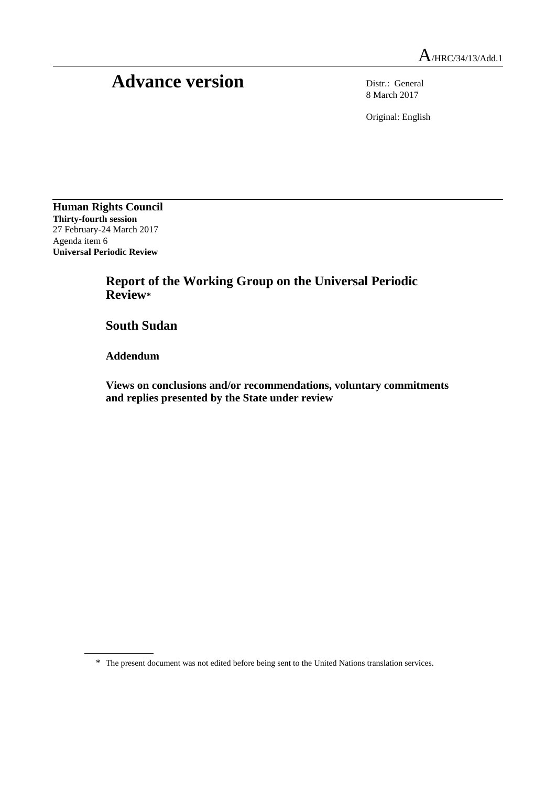## Advance version Distr.: General

8 March 2017

Original: English

**Human Rights Council Thirty-fourth session** 27 February-24 March 2017 Agenda item 6 **Universal Periodic Review**

> **Report of the Working Group on the Universal Periodic Review\***

**South Sudan**

**Addendum**

**Views on conclusions and/or recommendations, voluntary commitments and replies presented by the State under review**

<sup>\*</sup> The present document was not edited before being sent to the United Nations translation services.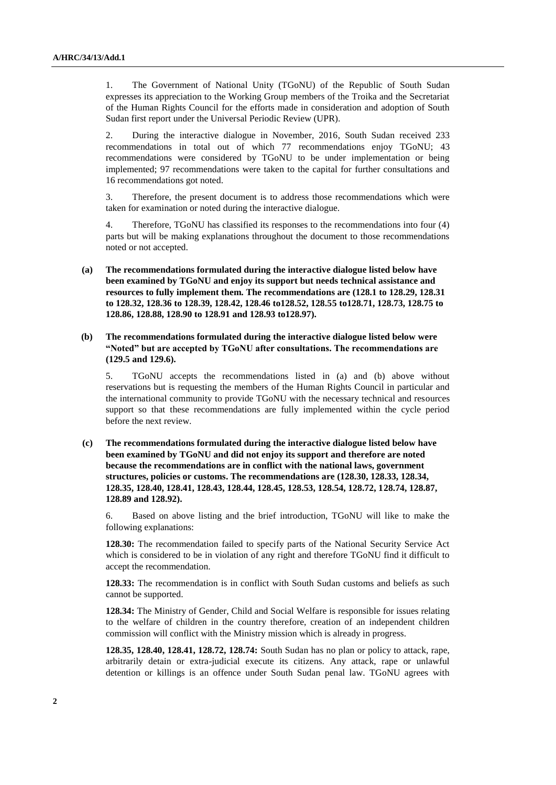1. The Government of National Unity (TGoNU) of the Republic of South Sudan expresses its appreciation to the Working Group members of the Troika and the Secretariat of the Human Rights Council for the efforts made in consideration and adoption of South Sudan first report under the Universal Periodic Review (UPR).

2. During the interactive dialogue in November, 2016, South Sudan received 233 recommendations in total out of which 77 recommendations enjoy TGoNU; 43 recommendations were considered by TGoNU to be under implementation or being implemented; 97 recommendations were taken to the capital for further consultations and 16 recommendations got noted.

3. Therefore, the present document is to address those recommendations which were taken for examination or noted during the interactive dialogue.

4. Therefore, TGoNU has classified its responses to the recommendations into four (4) parts but will be making explanations throughout the document to those recommendations noted or not accepted.

**(a) The recommendations formulated during the interactive dialogue listed below have been examined by TGoNU and enjoy its support but needs technical assistance and resources to fully implement them. The recommendations are (128.1 to 128.29, 128.31 to 128.32, 128.36 to 128.39, 128.42, 128.46 to128.52, 128.55 to128.71, 128.73, 128.75 to 128.86, 128.88, 128.90 to 128.91 and 128.93 to128.97).**

## **(b) The recommendations formulated during the interactive dialogue listed below were "Noted" but are accepted by TGoNU after consultations. The recommendations are (129.5 and 129.6).**

5. TGoNU accepts the recommendations listed in (a) and (b) above without reservations but is requesting the members of the Human Rights Council in particular and the international community to provide TGoNU with the necessary technical and resources support so that these recommendations are fully implemented within the cycle period before the next review.

## **(c) The recommendations formulated during the interactive dialogue listed below have been examined by TGoNU and did not enjoy its support and therefore are noted because the recommendations are in conflict with the national laws, government structures, policies or customs. The recommendations are (128.30, 128.33, 128.34, 128.35, 128.40, 128.41, 128.43, 128.44, 128.45, 128.53, 128.54, 128.72, 128.74, 128.87, 128.89 and 128.92).**

6. Based on above listing and the brief introduction, TGoNU will like to make the following explanations:

**128.30:** The recommendation failed to specify parts of the National Security Service Act which is considered to be in violation of any right and therefore TGoNU find it difficult to accept the recommendation.

**128.33:** The recommendation is in conflict with South Sudan customs and beliefs as such cannot be supported.

**128.34:** The Ministry of Gender, Child and Social Welfare is responsible for issues relating to the welfare of children in the country therefore, creation of an independent children commission will conflict with the Ministry mission which is already in progress.

**128.35, 128.40, 128.41, 128.72, 128.74:** South Sudan has no plan or policy to attack, rape, arbitrarily detain or extra-judicial execute its citizens. Any attack, rape or unlawful detention or killings is an offence under South Sudan penal law. TGoNU agrees with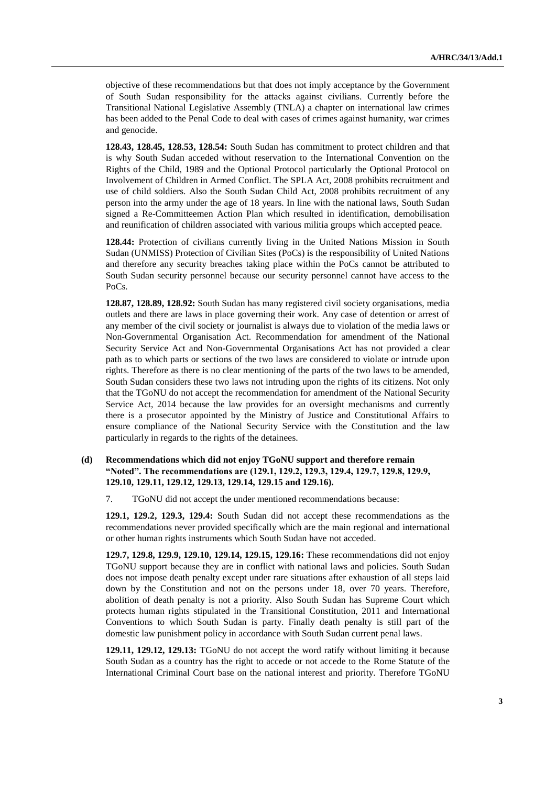objective of these recommendations but that does not imply acceptance by the Government of South Sudan responsibility for the attacks against civilians. Currently before the Transitional National Legislative Assembly (TNLA) a chapter on international law crimes has been added to the Penal Code to deal with cases of crimes against humanity, war crimes and genocide.

**128.43, 128.45, 128.53, 128.54:** South Sudan has commitment to protect children and that is why South Sudan acceded without reservation to the International Convention on the Rights of the Child, 1989 and the Optional Protocol particularly the Optional Protocol on Involvement of Children in Armed Conflict. The SPLA Act, 2008 prohibits recruitment and use of child soldiers. Also the South Sudan Child Act, 2008 prohibits recruitment of any person into the army under the age of 18 years. In line with the national laws, South Sudan signed a Re-Committeemen Action Plan which resulted in identification, demobilisation and reunification of children associated with various militia groups which accepted peace.

**128.44:** Protection of civilians currently living in the United Nations Mission in South Sudan (UNMISS) Protection of Civilian Sites (PoCs) is the responsibility of United Nations and therefore any security breaches taking place within the PoCs cannot be attributed to South Sudan security personnel because our security personnel cannot have access to the PoCs.

**128.87, 128.89, 128.92:** South Sudan has many registered civil society organisations, media outlets and there are laws in place governing their work. Any case of detention or arrest of any member of the civil society or journalist is always due to violation of the media laws or Non-Governmental Organisation Act. Recommendation for amendment of the National Security Service Act and Non-Governmental Organisations Act has not provided a clear path as to which parts or sections of the two laws are considered to violate or intrude upon rights. Therefore as there is no clear mentioning of the parts of the two laws to be amended, South Sudan considers these two laws not intruding upon the rights of its citizens. Not only that the TGoNU do not accept the recommendation for amendment of the National Security Service Act, 2014 because the law provides for an oversight mechanisms and currently there is a prosecutor appointed by the Ministry of Justice and Constitutional Affairs to ensure compliance of the National Security Service with the Constitution and the law particularly in regards to the rights of the detainees.

## **(d) Recommendations which did not enjoy TGoNU support and therefore remain "Noted". The recommendations are (129.1, 129.2, 129.3, 129.4, 129.7, 129.8, 129.9, 129.10, 129.11, 129.12, 129.13, 129.14, 129.15 and 129.16).**

7. TGoNU did not accept the under mentioned recommendations because:

**129.1, 129.2, 129.3, 129.4:** South Sudan did not accept these recommendations as the recommendations never provided specifically which are the main regional and international or other human rights instruments which South Sudan have not acceded.

**129.7, 129.8, 129.9, 129.10, 129.14, 129.15, 129.16:** These recommendations did not enjoy TGoNU support because they are in conflict with national laws and policies. South Sudan does not impose death penalty except under rare situations after exhaustion of all steps laid down by the Constitution and not on the persons under 18, over 70 years. Therefore, abolition of death penalty is not a priority. Also South Sudan has Supreme Court which protects human rights stipulated in the Transitional Constitution, 2011 and International Conventions to which South Sudan is party. Finally death penalty is still part of the domestic law punishment policy in accordance with South Sudan current penal laws.

**129.11, 129.12, 129.13:** TGoNU do not accept the word ratify without limiting it because South Sudan as a country has the right to accede or not accede to the Rome Statute of the International Criminal Court base on the national interest and priority. Therefore TGoNU